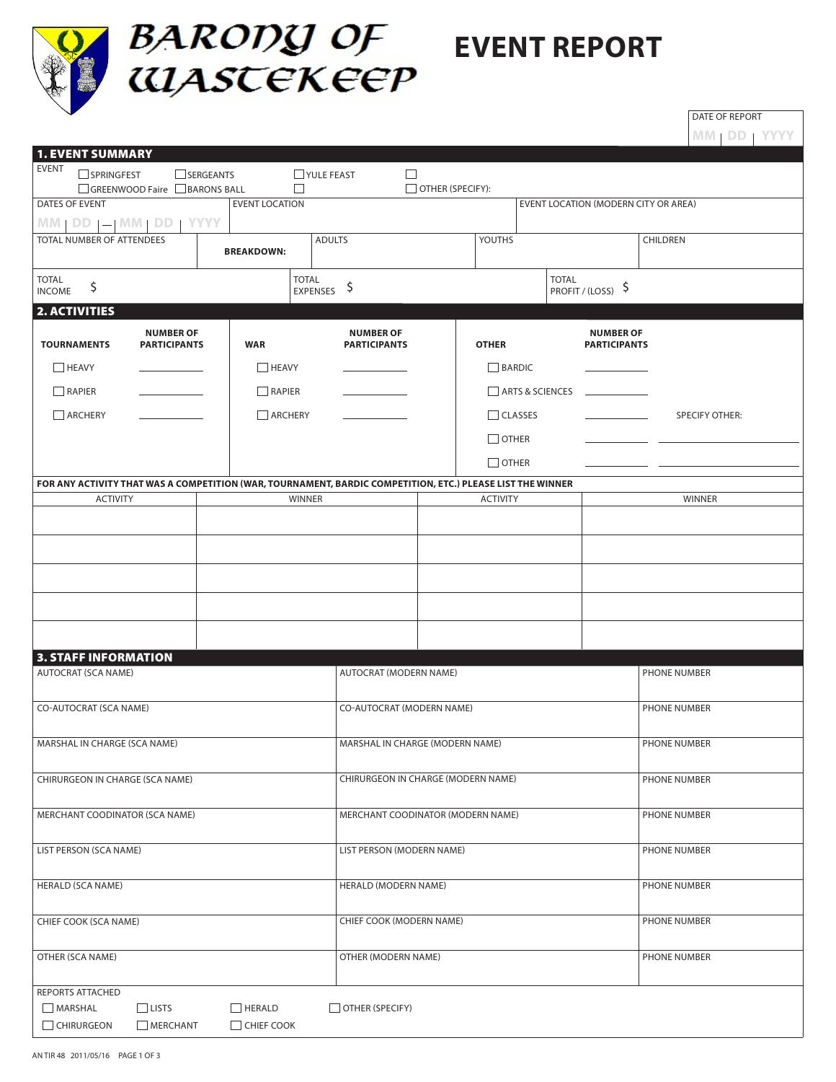

## **BARODY OF EVENT REPORT**<br> **EVENT REPORT**

DATE OF REPORT

|                                                                                                            |                                         |                   |                                         |                  |                 |                                         | MM   DD   YYYY        |
|------------------------------------------------------------------------------------------------------------|-----------------------------------------|-------------------|-----------------------------------------|------------------|-----------------|-----------------------------------------|-----------------------|
| <b>1. EVENT SUMMARY</b><br><b>EVENT</b>                                                                    |                                         |                   |                                         |                  |                 |                                         |                       |
| SPRINGFEST<br>GREENWOOD Faire BARONS BALL                                                                  | SERGEANTS                               | П                 | <b>TYULE FEAST</b><br>$\Box$            | OTHER (SPECIFY): |                 |                                         |                       |
| DATES OF EVENT                                                                                             |                                         |                   | EVENT LOCATION (MODERN CITY OR AREA)    |                  |                 |                                         |                       |
| $MM   DD   =   MM   DD$                                                                                    | <b>YYYY</b>                             |                   |                                         |                  |                 |                                         |                       |
| TOTAL NUMBER OF ATTENDEES                                                                                  |                                         | <b>BREAKDOWN:</b> | <b>ADULTS</b>                           |                  | YOUTHS          |                                         | CHILDREN              |
| <b>TOTAL</b><br>\$<br><b>INCOME</b>                                                                        |                                         | <b>TOTAL</b>      | \$<br><b>EXPENSES</b>                   |                  |                 | <b>TOTAL</b><br>PROFIT / (LOSS) \$      |                       |
| <b>2. ACTIVITIES</b>                                                                                       |                                         |                   |                                         |                  |                 |                                         |                       |
| <b>TOURNAMENTS</b>                                                                                         | <b>NUMBER OF</b><br><b>PARTICIPANTS</b> | <b>WAR</b>        | <b>NUMBER OF</b><br><b>PARTICIPANTS</b> |                  | <b>OTHER</b>    | <b>NUMBER OF</b><br><b>PARTICIPANTS</b> |                       |
| $H$ HEAVY                                                                                                  |                                         | $\Box$ HEAVY      |                                         |                  | BARDIC          |                                         |                       |
| RAPIER                                                                                                     |                                         | RAPIER            |                                         |                  | ARTS & SCIENCES |                                         |                       |
| ARCHERY                                                                                                    |                                         | ARCHERY           |                                         |                  | $\Box$ CLASSES  |                                         | <b>SPECIFY OTHER:</b> |
|                                                                                                            |                                         |                   |                                         |                  | $\Box$ OTHER    |                                         |                       |
|                                                                                                            |                                         |                   |                                         |                  | $\Box$ OTHER    |                                         |                       |
| FOR ANY ACTIVITY THAT WAS A COMPETITION (WAR, TOURNAMENT, BARDIC COMPETITION, ETC.) PLEASE LIST THE WINNER |                                         |                   |                                         |                  |                 |                                         |                       |
| <b>ACTIVITY</b>                                                                                            |                                         | <b>WINNER</b>     |                                         |                  | <b>ACTIVITY</b> |                                         | <b>WINNER</b>         |
|                                                                                                            |                                         |                   |                                         |                  |                 |                                         |                       |
|                                                                                                            |                                         |                   |                                         |                  |                 |                                         |                       |
|                                                                                                            |                                         |                   |                                         |                  |                 |                                         |                       |
|                                                                                                            |                                         |                   |                                         |                  |                 |                                         |                       |
|                                                                                                            |                                         |                   |                                         |                  |                 |                                         |                       |
| <b>3. STAFF INFORMATION</b>                                                                                |                                         |                   |                                         |                  |                 |                                         |                       |
| <b>AUTOCRAT (SCA NAME)</b>                                                                                 |                                         |                   | <b>AUTOCRAT (MODERN NAME)</b>           |                  |                 |                                         | PHONE NUMBER          |
|                                                                                                            |                                         |                   |                                         |                  |                 |                                         |                       |
| CO-AUTOCRAT (SCA NAME)                                                                                     |                                         |                   | CO-AUTOCRAT (MODERN NAME)               |                  | PHONE NUMBER    |                                         |                       |
| MARSHAL IN CHARGE (SCA NAME)                                                                               |                                         |                   | MARSHAL IN CHARGE (MODERN NAME)         |                  | PHONE NUMBER    |                                         |                       |
|                                                                                                            |                                         |                   |                                         |                  |                 |                                         |                       |
| CHIRURGEON IN CHARGE (SCA NAME)                                                                            |                                         |                   | CHIRURGEON IN CHARGE (MODERN NAME)      |                  | PHONE NUMBER    |                                         |                       |
| MERCHANT COODINATOR (SCA NAME)                                                                             |                                         |                   | MERCHANT COODINATOR (MODERN NAME)       |                  | PHONE NUMBER    |                                         |                       |
|                                                                                                            |                                         |                   |                                         |                  |                 |                                         |                       |
| LIST PERSON (SCA NAME)                                                                                     |                                         |                   | LIST PERSON (MODERN NAME)               |                  | PHONE NUMBER    |                                         |                       |
| <b>HERALD (SCA NAME)</b>                                                                                   |                                         |                   | HERALD (MODERN NAME)                    |                  | PHONE NUMBER    |                                         |                       |
|                                                                                                            |                                         |                   |                                         |                  |                 |                                         |                       |
| CHIEF COOK (SCA NAME)                                                                                      |                                         |                   | CHIEF COOK (MODERN NAME)                |                  | PHONE NUMBER    |                                         |                       |
| OTHER (SCA NAME)                                                                                           |                                         |                   | OTHER (MODERN NAME)                     |                  | PHONE NUMBER    |                                         |                       |
| REPORTS ATTACHED                                                                                           |                                         |                   |                                         |                  |                 |                                         |                       |
| $\Box$ LISTS<br>$\Box$ MARSHAL                                                                             |                                         | $\Box$ HERALD     | $\Box$ OTHER (SPECIFY)                  |                  |                 |                                         |                       |
| CHIRURGEON                                                                                                 | MERCHANT                                | $\Box$ CHIEF COOK |                                         |                  |                 |                                         |                       |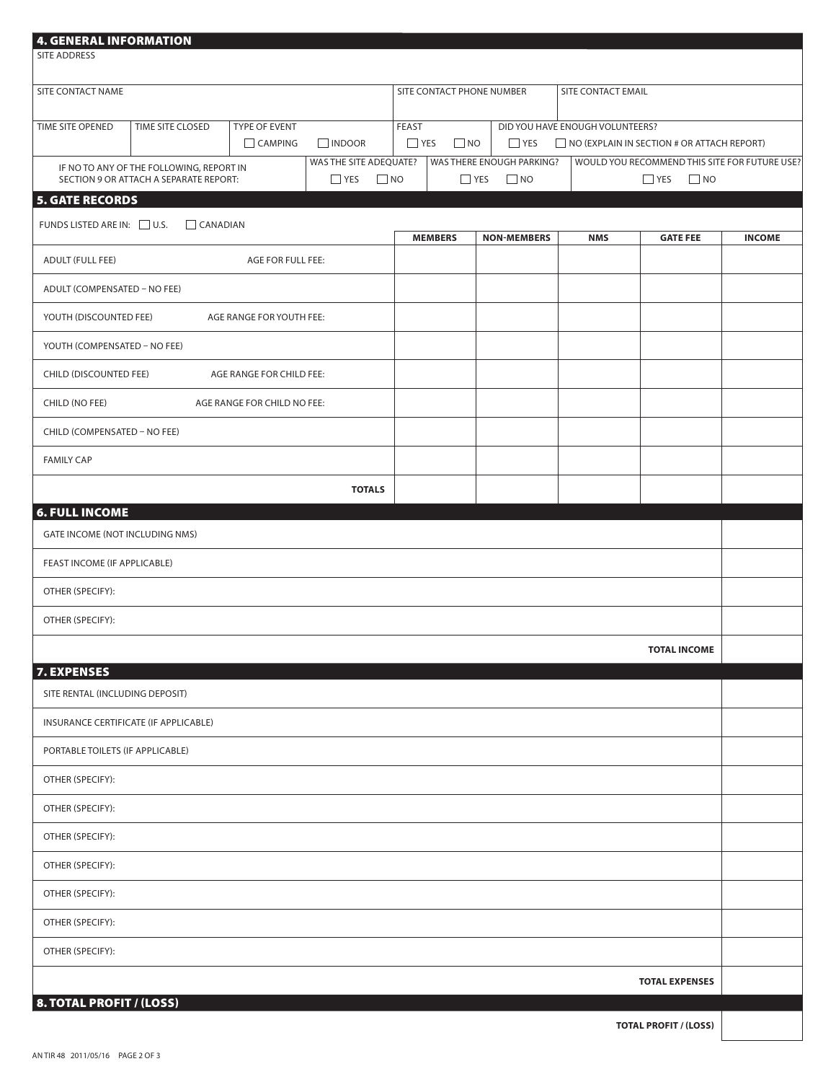| 4. GENERAL INFORMATION<br><b>SITE ADDRESS</b>                                                                              |                  |                             |                                                      |                           |                         |           |                    |                                                                       |                                                   |               |
|----------------------------------------------------------------------------------------------------------------------------|------------------|-----------------------------|------------------------------------------------------|---------------------------|-------------------------|-----------|--------------------|-----------------------------------------------------------------------|---------------------------------------------------|---------------|
| SITE CONTACT NAME                                                                                                          |                  |                             |                                                      | SITE CONTACT PHONE NUMBER |                         |           |                    | SITE CONTACT EMAIL                                                    |                                                   |               |
| TIME SITE OPENED                                                                                                           | TIME SITE CLOSED | TYPE OF EVENT               |                                                      | FEAST                     |                         |           |                    | DID YOU HAVE ENOUGH VOLUNTEERS?                                       |                                                   |               |
|                                                                                                                            |                  | $\Box$ CAMPING              | $\Box$ INDOOR                                        |                           | $\Box$ YES<br>$\Box$ NO |           | $\Box$ YES         |                                                                       | $\Box$ NO (EXPLAIN IN SECTION # OR ATTACH REPORT) |               |
| WAS THE SITE ADEQUATE?<br>IF NO TO ANY OF THE FOLLOWING, REPORT IN<br>$\Box$ YES<br>SECTION 9 OR ATTACH A SEPARATE REPORT: |                  |                             | WAS THERE ENOUGH PARKING?<br>$\Box$ NO<br>$\Box$ YES |                           |                         | $\Box$ NO |                    | WOULD YOU RECOMMEND THIS SITE FOR FUTURE USE?<br>$\Box$ YES $\Box$ NO |                                                   |               |
| <b>5. GATE RECORDS</b>                                                                                                     |                  |                             |                                                      |                           |                         |           |                    |                                                                       |                                                   |               |
| FUNDS LISTED ARE IN: U.S.                                                                                                  | $\Box$ CANADIAN  |                             |                                                      |                           | <b>MEMBERS</b>          |           | <b>NON-MEMBERS</b> | <b>NMS</b>                                                            | <b>GATE FEE</b>                                   | <b>INCOME</b> |
| <b>ADULT (FULL FEE)</b>                                                                                                    |                  | AGE FOR FULL FEE:           |                                                      |                           |                         |           |                    |                                                                       |                                                   |               |
| ADULT (COMPENSATED - NO FEE)                                                                                               |                  |                             |                                                      |                           |                         |           |                    |                                                                       |                                                   |               |
| YOUTH (DISCOUNTED FEE)                                                                                                     |                  | AGE RANGE FOR YOUTH FEE:    |                                                      |                           |                         |           |                    |                                                                       |                                                   |               |
| YOUTH (COMPENSATED - NO FEE)                                                                                               |                  |                             |                                                      |                           |                         |           |                    |                                                                       |                                                   |               |
| CHILD (DISCOUNTED FEE)                                                                                                     |                  | AGE RANGE FOR CHILD FEE:    |                                                      |                           |                         |           |                    |                                                                       |                                                   |               |
| CHILD (NO FEE)                                                                                                             |                  | AGE RANGE FOR CHILD NO FEE: |                                                      |                           |                         |           |                    |                                                                       |                                                   |               |
| CHILD (COMPENSATED - NO FEE)                                                                                               |                  |                             |                                                      |                           |                         |           |                    |                                                                       |                                                   |               |
| <b>FAMILY CAP</b>                                                                                                          |                  |                             |                                                      |                           |                         |           |                    |                                                                       |                                                   |               |
|                                                                                                                            |                  |                             | <b>TOTALS</b>                                        |                           |                         |           |                    |                                                                       |                                                   |               |
| <b>6. FULL INCOME</b>                                                                                                      |                  |                             |                                                      |                           |                         |           |                    |                                                                       |                                                   |               |
| GATE INCOME (NOT INCLUDING NMS)                                                                                            |                  |                             |                                                      |                           |                         |           |                    |                                                                       |                                                   |               |
| FEAST INCOME (IF APPLICABLE)                                                                                               |                  |                             |                                                      |                           |                         |           |                    |                                                                       |                                                   |               |
| OTHER (SPECIFY):                                                                                                           |                  |                             |                                                      |                           |                         |           |                    |                                                                       |                                                   |               |
| OTHER (SPECIFY):                                                                                                           |                  |                             |                                                      |                           |                         |           |                    |                                                                       |                                                   |               |
|                                                                                                                            |                  |                             |                                                      |                           |                         |           |                    |                                                                       | <b>TOTAL INCOME</b>                               |               |
| <b>7. EXPENSES</b><br>SITE RENTAL (INCLUDING DEPOSIT)                                                                      |                  |                             |                                                      |                           |                         |           |                    |                                                                       |                                                   |               |
| INSURANCE CERTIFICATE (IF APPLICABLE)                                                                                      |                  |                             |                                                      |                           |                         |           |                    |                                                                       |                                                   |               |
| PORTABLE TOILETS (IF APPLICABLE)                                                                                           |                  |                             |                                                      |                           |                         |           |                    |                                                                       |                                                   |               |
| OTHER (SPECIFY):                                                                                                           |                  |                             |                                                      |                           |                         |           |                    |                                                                       |                                                   |               |
| OTHER (SPECIFY):                                                                                                           |                  |                             |                                                      |                           |                         |           |                    |                                                                       |                                                   |               |
| OTHER (SPECIFY):                                                                                                           |                  |                             |                                                      |                           |                         |           |                    |                                                                       |                                                   |               |
| OTHER (SPECIFY):                                                                                                           |                  |                             |                                                      |                           |                         |           |                    |                                                                       |                                                   |               |
| OTHER (SPECIFY):                                                                                                           |                  |                             |                                                      |                           |                         |           |                    |                                                                       |                                                   |               |
| OTHER (SPECIFY):                                                                                                           |                  |                             |                                                      |                           |                         |           |                    |                                                                       |                                                   |               |
| OTHER (SPECIFY):                                                                                                           |                  |                             |                                                      |                           |                         |           |                    |                                                                       |                                                   |               |
|                                                                                                                            |                  |                             |                                                      |                           |                         |           |                    |                                                                       | <b>TOTAL EXPENSES</b>                             |               |
| <b>8. TOTAL PROFIT / (LOSS)</b>                                                                                            |                  |                             |                                                      |                           |                         |           |                    |                                                                       |                                                   |               |

AN TIR 48 2011/05/16 PAGE 2 OF 3